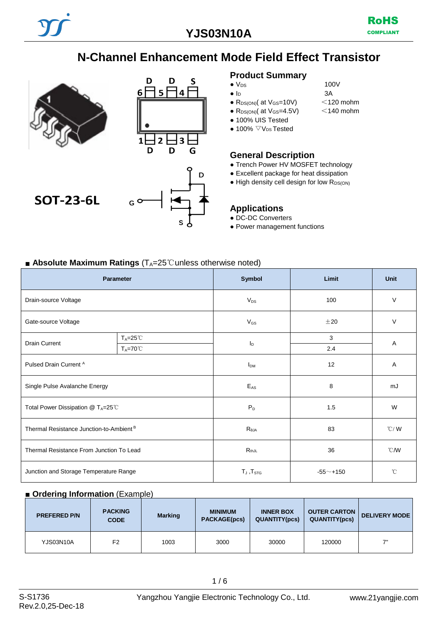**YJS03N10A**



# **N-Channel Enhancement Mode Field Effect Transistor**





# **SOT-23-6L**

### **Product Summary**

- $\bullet$  V<sub>DS</sub> 100V
- $\bullet$  I<sub>D</sub> 3A
- $R_{DS(ON)}$ ( at  $V_{GS}$ =10V)  $\sim$  120 mohm<br>•  $R_{DS(ON)}$ ( at  $V_{GS}$ =4.5V)  $\sim$  140 mohm
- $\bullet$  R<sub>DS(ON)</sub>( at V<sub>GS</sub>=4.5V)
- 100% UIS Tested
- $\bullet$  100%  $\nabla$  V<sub>DS</sub> Tested

#### **General Description**

- Trench Power HV MOSFET technology
- Excellent package for heat dissipation
- High density cell design for low R<sub>DS(ON)</sub>

#### **Applications**

- DC-DC Converters
- Power management functions

### ■ **Absolute Maximum Ratings** (T<sub>A</sub>=25<sup>°</sup>C unless otherwise noted)

| <b>Parameter</b>                                    |                     | Symbol                           | Limit | <b>Unit</b>    |  |
|-----------------------------------------------------|---------------------|----------------------------------|-------|----------------|--|
| Drain-source Voltage                                |                     | $V_{DS}$                         | 100   | $\vee$         |  |
| Gate-source Voltage                                 |                     | $V_{GS}$                         | ±20   | $\vee$         |  |
| <b>Drain Current</b>                                | $T_A = 25^{\circ}C$ |                                  | 3     | Α              |  |
|                                                     | $T_A = 70^{\circ}$  | $I_{\text{D}}$                   | 2.4   |                |  |
| Pulsed Drain Current A                              |                     | I <sub>DM</sub>                  | 12    | A              |  |
| Single Pulse Avalanche Energy                       |                     | $E_{AS}$                         | 8     | mJ             |  |
| Total Power Dissipation @ TA=25℃                    |                     | $P_D$<br>1.5                     |       | W              |  |
| Thermal Resistance Junction-to-Ambient <sup>B</sup> |                     | $R_{\theta JA}$                  | 83    | $^{\circ}$ C/W |  |
| Thermal Resistance From Junction To Lead            |                     | $R_{thJL}$                       | 36    | $^{\circ}$ CMV |  |
| Junction and Storage Temperature Range              |                     | $T_J$ , $T_{STG}$<br>$-55$ ~+150 |       | $^{\circ}$ C   |  |

#### ■ **Ordering Information** (Example)

| <b>PREFERED P/N</b> | <b>PACKING</b><br><b>CODE</b> | <b>Marking</b> | <b>MINIMUM</b><br>PACKAGE(pcs) | <b>INNER BOX</b><br><b>QUANTITY(pcs)</b> | <b>OUTER CARTON</b><br><b>QUANTITY(pcs)</b> | <b>DELIVERY MODE</b> |
|---------------------|-------------------------------|----------------|--------------------------------|------------------------------------------|---------------------------------------------|----------------------|
| YJS03N10A           | F2                            | 1003           | 3000                           | 30000                                    | 120000                                      | 7"                   |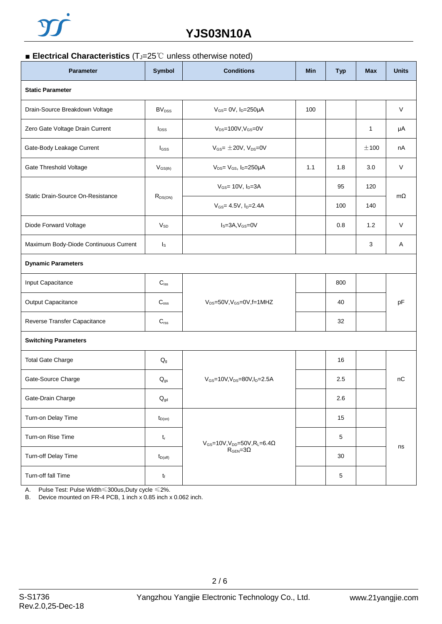## **YJS03N10A**

### ■ **Electrical Characteristics** (T<sub>J</sub>=25℃ unless otherwise noted)

| <b>Parameter</b>                      | Symbol                   | <b>Conditions</b>                                                 | Min | <b>Typ</b> | <b>Max</b> | <b>Units</b> |  |  |  |
|---------------------------------------|--------------------------|-------------------------------------------------------------------|-----|------------|------------|--------------|--|--|--|
| <b>Static Parameter</b>               |                          |                                                                   |     |            |            |              |  |  |  |
| Drain-Source Breakdown Voltage        | BV <sub>DSS</sub>        | $V_{GS}$ = 0V, $I_D$ =250µA                                       | 100 |            |            | V            |  |  |  |
| Zero Gate Voltage Drain Current       | <b>l</b> <sub>DSS</sub>  | $V_{DS} = 100V, V_{GS} = 0V$                                      |     |            | 1          | μA           |  |  |  |
| Gate-Body Leakage Current             | $I_{GSS}$                | $V_{GS} = \pm 20V$ , $V_{DS} = 0V$                                |     |            | ±100       | nA           |  |  |  |
| Gate Threshold Voltage                | $V_{GS(th)}$             | $V_{DS} = V_{GS}$ , $I_D = 250 \mu A$                             | 1.1 | 1.8        | 3.0        | $\vee$       |  |  |  |
|                                       | $R_{DS(ON)}$             | $V_{GS}$ = 10V, $I_D$ =3A                                         |     | 95         | 120        | $m\Omega$    |  |  |  |
| Static Drain-Source On-Resistance     |                          | $V_{GS}$ = 4.5V, $I_{D}$ =2.4A                                    |     | 100        | 140        |              |  |  |  |
| Diode Forward Voltage                 | $V_{SD}$                 | $IS=3A,VGS=0V$                                                    |     | 0.8        | 1.2        | V            |  |  |  |
| Maximum Body-Diode Continuous Current | Is                       |                                                                   |     |            | 3          | A            |  |  |  |
| <b>Dynamic Parameters</b>             |                          |                                                                   |     |            |            |              |  |  |  |
| Input Capacitance                     | $C_{iss}$                |                                                                   |     | 800        |            |              |  |  |  |
| Output Capacitance                    | C <sub>oss</sub>         | $V_{DS}=50V$ , $V_{GS}=0V$ , f=1MHZ                               |     | 40         |            | pF           |  |  |  |
| Reverse Transfer Capacitance          | $C_{\mathsf{rss}}$       |                                                                   |     | 32         |            |              |  |  |  |
| <b>Switching Parameters</b>           |                          |                                                                   |     |            |            |              |  |  |  |
| <b>Total Gate Charge</b>              | $\mathsf{Q}_{\text{g}}$  |                                                                   |     | 16         |            | nC           |  |  |  |
| Gate-Source Charge                    | $Q_{gs}$                 | $V_{GS}$ =10V, $V_{DS}$ =80V, $I_{D}$ =2.5A                       |     | 2.5        |            |              |  |  |  |
| Gate-Drain Charge                     | $\mathsf{Q}_{\text{gd}}$ |                                                                   |     | 2.6        |            |              |  |  |  |
| Turn-on Delay Time                    | $t_{D(on)}$              |                                                                   |     | 15         |            | ns           |  |  |  |
| Turn-on Rise Time                     | $t_{r}$                  | $V_{GS}$ =10V, V <sub>DD</sub> =50V, R <sub>L</sub> =6.4 $\Omega$ |     | 5          |            |              |  |  |  |
| Turn-off Delay Time                   | $t_{D(off)}$             | $R_{\text{GEN}} = 3\Omega$                                        |     | 30         |            |              |  |  |  |
| Turn-off fall Time                    | $t_{\rm f}$              |                                                                   |     | 5          |            |              |  |  |  |

A. Pulse Test: Pulse Width≤300us,Duty cycle ≤2%.

B. Device mounted on FR-4 PCB, 1 inch x 0.85 inch x 0.062 inch.

2 / 6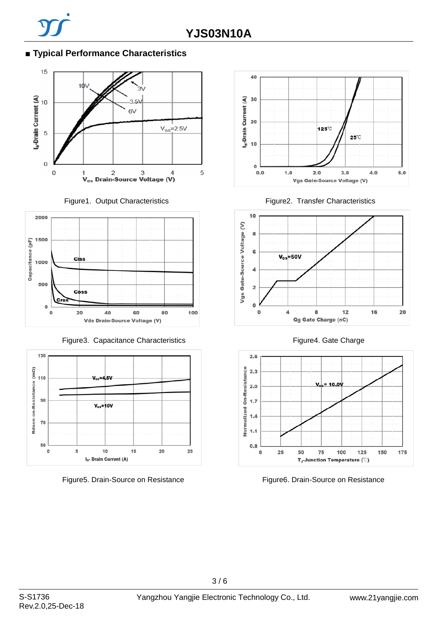### **■ Typical Performance Characteristics**







Figure3. Capacitance Characteristics Figure4. Gate Charge













Figure5. Drain-Source on Resistance Figure6. Drain-Source on Resistance

 $3/6$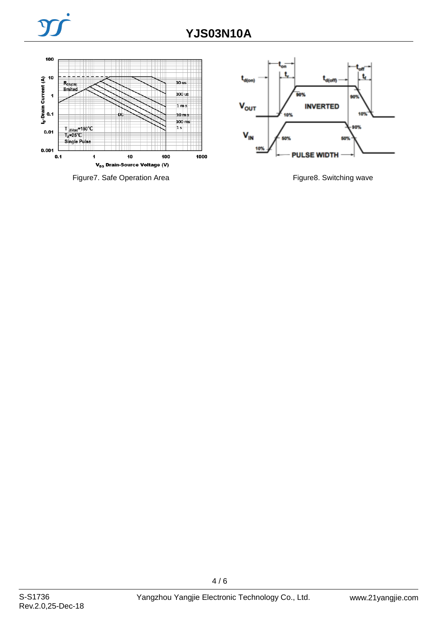

Figure7. Safe Operation Area Figure8. Switching wave

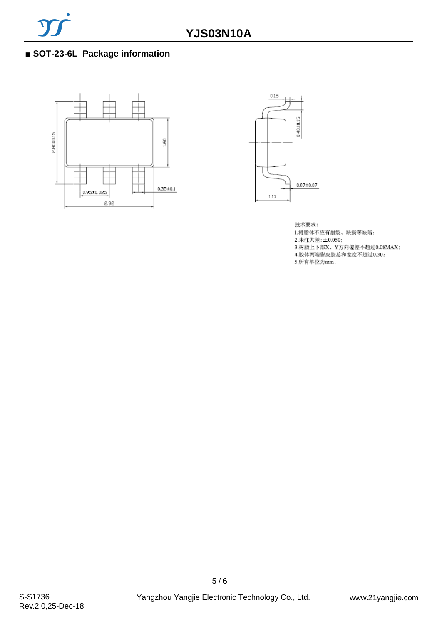

### ■ **SOT-23-6L Package information**





技术要求: 1.树脂体不应有崩裂、缺损等缺陷; 2.未注共差:±0.050; 3.树脂上下部X、Y方向偏差不超过0.08MAX; 4.胶体两端留废胶总和宽度不超过0.30; 5. 所有单位为mm;

5 / 6